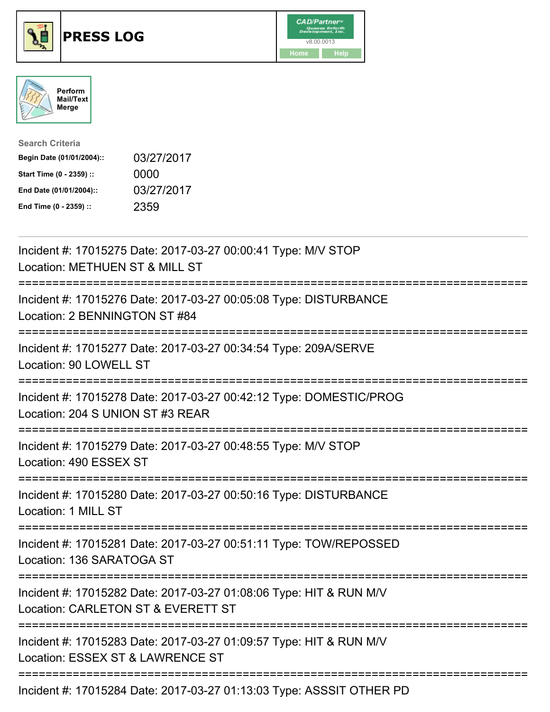





| <b>Search Criteria</b>    |            |
|---------------------------|------------|
| Begin Date (01/01/2004):: | 03/27/2017 |
| Start Time (0 - 2359) ::  | 0000       |
| End Date (01/01/2004)::   | 03/27/2017 |
| End Time (0 - 2359) ::    | 2359       |

| Incident #: 17015275 Date: 2017-03-27 00:00:41 Type: M/V STOP<br>Location: METHUEN ST & MILL ST                                             |
|---------------------------------------------------------------------------------------------------------------------------------------------|
| Incident #: 17015276 Date: 2017-03-27 00:05:08 Type: DISTURBANCE<br>Location: 2 BENNINGTON ST #84                                           |
| Incident #: 17015277 Date: 2017-03-27 00:34:54 Type: 209A/SERVE<br>Location: 90 LOWELL ST                                                   |
| Incident #: 17015278 Date: 2017-03-27 00:42:12 Type: DOMESTIC/PROG<br>Location: 204 S UNION ST #3 REAR                                      |
| Incident #: 17015279 Date: 2017-03-27 00:48:55 Type: M/V STOP<br>Location: 490 ESSEX ST<br>==================                               |
| Incident #: 17015280 Date: 2017-03-27 00:50:16 Type: DISTURBANCE<br>Location: 1 MILL ST<br>.---------------------------------               |
| Incident #: 17015281 Date: 2017-03-27 00:51:11 Type: TOW/REPOSSED<br>Location: 136 SARATOGA ST                                              |
| Incident #: 17015282 Date: 2017-03-27 01:08:06 Type: HIT & RUN M/V<br>Location: CARLETON ST & EVERETT ST<br>;============================== |
| Incident #: 17015283 Date: 2017-03-27 01:09:57 Type: HIT & RUN M/V<br>Location: ESSEX ST & LAWRENCE ST                                      |
| Incident #: 17015284 Date: 2017-03-27 01:13:03 Type: ASSSIT OTHER PD                                                                        |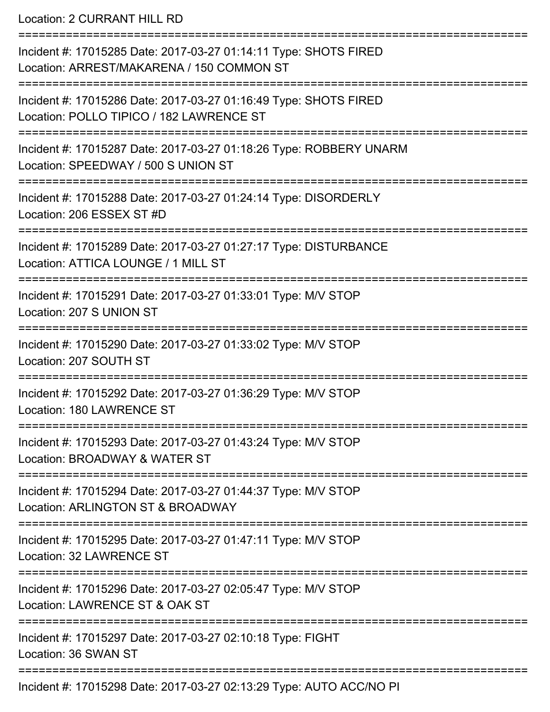Location: 2 CURRANT HILL RD

| Incident #: 17015285 Date: 2017-03-27 01:14:11 Type: SHOTS FIRED<br>Location: ARREST/MAKARENA / 150 COMMON ST |
|---------------------------------------------------------------------------------------------------------------|
| Incident #: 17015286 Date: 2017-03-27 01:16:49 Type: SHOTS FIRED<br>Location: POLLO TIPICO / 182 LAWRENCE ST  |
| Incident #: 17015287 Date: 2017-03-27 01:18:26 Type: ROBBERY UNARM<br>Location: SPEEDWAY / 500 S UNION ST     |
| Incident #: 17015288 Date: 2017-03-27 01:24:14 Type: DISORDERLY<br>Location: 206 ESSEX ST #D                  |
| Incident #: 17015289 Date: 2017-03-27 01:27:17 Type: DISTURBANCE<br>Location: ATTICA LOUNGE / 1 MILL ST       |
| Incident #: 17015291 Date: 2017-03-27 01:33:01 Type: M/V STOP<br>Location: 207 S UNION ST                     |
| Incident #: 17015290 Date: 2017-03-27 01:33:02 Type: M/V STOP<br>Location: 207 SOUTH ST                       |
| Incident #: 17015292 Date: 2017-03-27 01:36:29 Type: M/V STOP<br>Location: 180 LAWRENCE ST                    |
| Incident #: 17015293 Date: 2017-03-27 01:43:24 Type: M/V STOP<br>Location: BROADWAY & WATER ST                |
| Incident #: 17015294 Date: 2017-03-27 01:44:37 Type: M/V STOP<br>Location: ARLINGTON ST & BROADWAY            |
| Incident #: 17015295 Date: 2017-03-27 01:47:11 Type: M/V STOP<br>Location: 32 LAWRENCE ST                     |
| Incident #: 17015296 Date: 2017-03-27 02:05:47 Type: M/V STOP<br>Location: LAWRENCE ST & OAK ST               |
| Incident #: 17015297 Date: 2017-03-27 02:10:18 Type: FIGHT<br>Location: 36 SWAN ST                            |
| Incident #: 17015208 Date: 2017 03:27 02:13:20 Type: ALITO ACC/NO DL                                          |

Incident #: 17015298 Date: 2017-03-27 02:13:29 Type: AUTO ACC/NO PI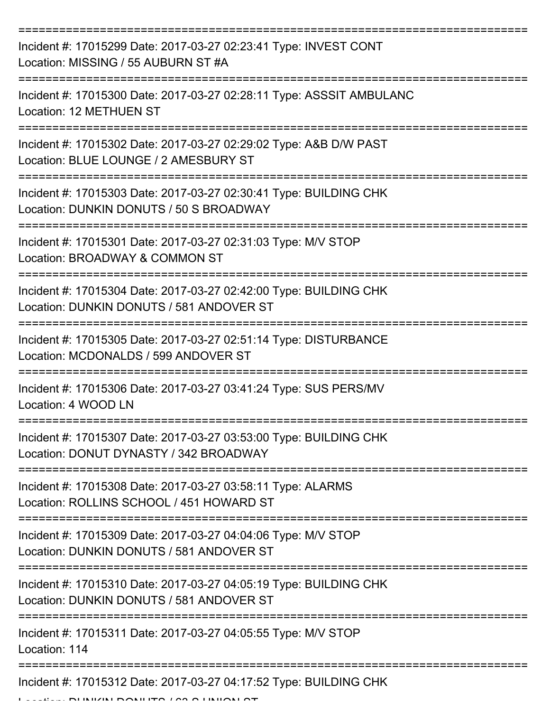| Incident #: 17015299 Date: 2017-03-27 02:23:41 Type: INVEST CONT<br>Location: MISSING / 55 AUBURN ST #A       |
|---------------------------------------------------------------------------------------------------------------|
| Incident #: 17015300 Date: 2017-03-27 02:28:11 Type: ASSSIT AMBULANC<br><b>Location: 12 METHUEN ST</b>        |
| Incident #: 17015302 Date: 2017-03-27 02:29:02 Type: A&B D/W PAST<br>Location: BLUE LOUNGE / 2 AMESBURY ST    |
| Incident #: 17015303 Date: 2017-03-27 02:30:41 Type: BUILDING CHK<br>Location: DUNKIN DONUTS / 50 S BROADWAY  |
| Incident #: 17015301 Date: 2017-03-27 02:31:03 Type: M/V STOP<br>Location: BROADWAY & COMMON ST               |
| Incident #: 17015304 Date: 2017-03-27 02:42:00 Type: BUILDING CHK<br>Location: DUNKIN DONUTS / 581 ANDOVER ST |
| Incident #: 17015305 Date: 2017-03-27 02:51:14 Type: DISTURBANCE<br>Location: MCDONALDS / 599 ANDOVER ST      |
| Incident #: 17015306 Date: 2017-03-27 03:41:24 Type: SUS PERS/MV<br>Location: 4 WOOD LN                       |
| Incident #: 17015307 Date: 2017-03-27 03:53:00 Type: BUILDING CHK<br>Location: DONUT DYNASTY / 342 BROADWAY   |
| Incident #: 17015308 Date: 2017-03-27 03:58:11 Type: ALARMS<br>Location: ROLLINS SCHOOL / 451 HOWARD ST       |
| Incident #: 17015309 Date: 2017-03-27 04:04:06 Type: M/V STOP<br>Location: DUNKIN DONUTS / 581 ANDOVER ST     |
| Incident #: 17015310 Date: 2017-03-27 04:05:19 Type: BUILDING CHK<br>Location: DUNKIN DONUTS / 581 ANDOVER ST |
| Incident #: 17015311 Date: 2017-03-27 04:05:55 Type: M/V STOP<br>Location: 114                                |
| Incident #: 17015312 Date: 2017-03-27 04:17:52 Type: BUILDING CHK                                             |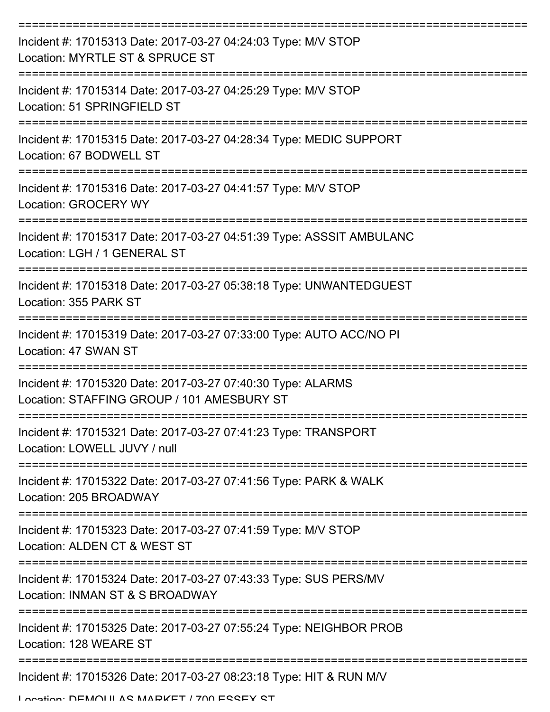| Incident #: 17015313 Date: 2017-03-27 04:24:03 Type: M/V STOP<br>Location: MYRTLE ST & SPRUCE ST          |
|-----------------------------------------------------------------------------------------------------------|
| Incident #: 17015314 Date: 2017-03-27 04:25:29 Type: M/V STOP<br>Location: 51 SPRINGFIELD ST              |
| Incident #: 17015315 Date: 2017-03-27 04:28:34 Type: MEDIC SUPPORT<br>Location: 67 BODWELL ST             |
| Incident #: 17015316 Date: 2017-03-27 04:41:57 Type: M/V STOP<br>Location: GROCERY WY                     |
| Incident #: 17015317 Date: 2017-03-27 04:51:39 Type: ASSSIT AMBULANC<br>Location: LGH / 1 GENERAL ST      |
| Incident #: 17015318 Date: 2017-03-27 05:38:18 Type: UNWANTEDGUEST<br>Location: 355 PARK ST               |
| Incident #: 17015319 Date: 2017-03-27 07:33:00 Type: AUTO ACC/NO PI<br>Location: 47 SWAN ST               |
| Incident #: 17015320 Date: 2017-03-27 07:40:30 Type: ALARMS<br>Location: STAFFING GROUP / 101 AMESBURY ST |
| Incident #: 17015321 Date: 2017-03-27 07:41:23 Type: TRANSPORT<br>Location: LOWELL JUVY / null            |
| Incident #: 17015322 Date: 2017-03-27 07:41:56 Type: PARK & WALK<br>Location: 205 BROADWAY                |
| Incident #: 17015323 Date: 2017-03-27 07:41:59 Type: M/V STOP<br>Location: ALDEN CT & WEST ST             |
| Incident #: 17015324 Date: 2017-03-27 07:43:33 Type: SUS PERS/MV<br>Location: INMAN ST & S BROADWAY       |
| Incident #: 17015325 Date: 2017-03-27 07:55:24 Type: NEIGHBOR PROB<br>Location: 128 WEARE ST              |
| Incident #: 17015326 Date: 2017-03-27 08:23:18 Type: HIT & RUN M/V                                        |

Location: DEMOULAS MADKET / 700 ESSEY ST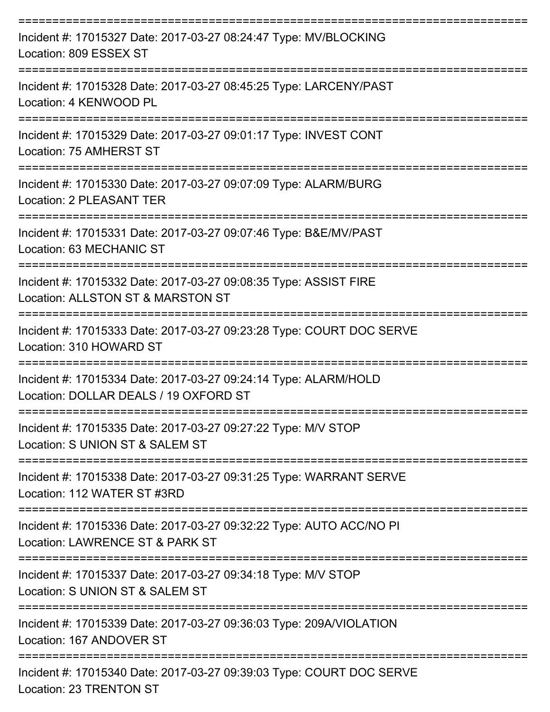| Incident #: 17015327 Date: 2017-03-27 08:24:47 Type: MV/BLOCKING<br>Location: 809 ESSEX ST                              |
|-------------------------------------------------------------------------------------------------------------------------|
| Incident #: 17015328 Date: 2017-03-27 08:45:25 Type: LARCENY/PAST<br>Location: 4 KENWOOD PL                             |
| Incident #: 17015329 Date: 2017-03-27 09:01:17 Type: INVEST CONT<br>Location: 75 AMHERST ST                             |
| Incident #: 17015330 Date: 2017-03-27 09:07:09 Type: ALARM/BURG<br>Location: 2 PLEASANT TER                             |
| Incident #: 17015331 Date: 2017-03-27 09:07:46 Type: B&E/MV/PAST<br>Location: 63 MECHANIC ST                            |
| Incident #: 17015332 Date: 2017-03-27 09:08:35 Type: ASSIST FIRE<br>Location: ALLSTON ST & MARSTON ST                   |
| Incident #: 17015333 Date: 2017-03-27 09:23:28 Type: COURT DOC SERVE<br>Location: 310 HOWARD ST                         |
| Incident #: 17015334 Date: 2017-03-27 09:24:14 Type: ALARM/HOLD<br>Location: DOLLAR DEALS / 19 OXFORD ST                |
| -------------------<br>Incident #: 17015335 Date: 2017-03-27 09:27:22 Type: M/V STOP<br>Location: S UNION ST & SALEM ST |
| Incident #: 17015338 Date: 2017-03-27 09:31:25 Type: WARRANT SERVE<br>Location: 112 WATER ST #3RD                       |
| Incident #: 17015336 Date: 2017-03-27 09:32:22 Type: AUTO ACC/NO PI<br>Location: LAWRENCE ST & PARK ST                  |
| Incident #: 17015337 Date: 2017-03-27 09:34:18 Type: M/V STOP<br>Location: S UNION ST & SALEM ST                        |
| Incident #: 17015339 Date: 2017-03-27 09:36:03 Type: 209A/VIOLATION<br>Location: 167 ANDOVER ST                         |
| Incident #: 17015340 Date: 2017-03-27 09:39:03 Type: COURT DOC SERVE<br><b>Location: 23 TRENTON ST</b>                  |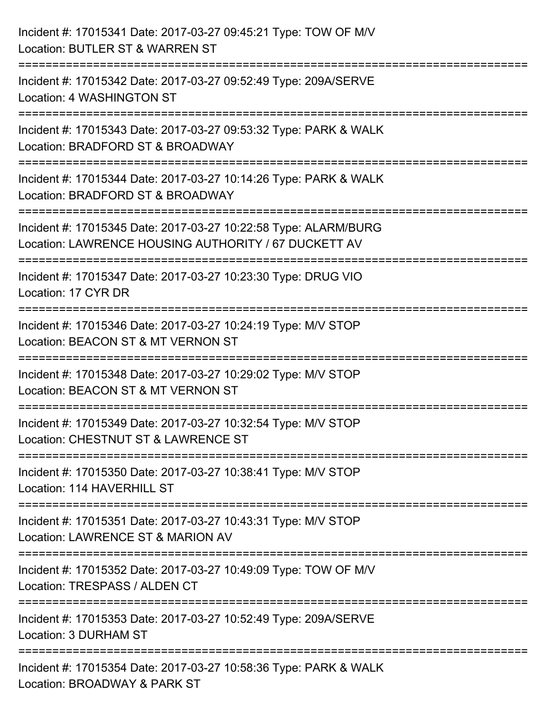| Incident #: 17015341 Date: 2017-03-27 09:45:21 Type: TOW OF M/V<br>Location: BUTLER ST & WARREN ST                                                                          |
|-----------------------------------------------------------------------------------------------------------------------------------------------------------------------------|
| :========================<br>Incident #: 17015342 Date: 2017-03-27 09:52:49 Type: 209A/SERVE<br>Location: 4 WASHINGTON ST                                                   |
| Incident #: 17015343 Date: 2017-03-27 09:53:32 Type: PARK & WALK<br>Location: BRADFORD ST & BROADWAY<br>======================                                              |
| Incident #: 17015344 Date: 2017-03-27 10:14:26 Type: PARK & WALK<br>Location: BRADFORD ST & BROADWAY                                                                        |
| Incident #: 17015345 Date: 2017-03-27 10:22:58 Type: ALARM/BURG<br>Location: LAWRENCE HOUSING AUTHORITY / 67 DUCKETT AV<br>=============================<br>=============== |
| Incident #: 17015347 Date: 2017-03-27 10:23:30 Type: DRUG VIO<br>Location: 17 CYR DR                                                                                        |
| Incident #: 17015346 Date: 2017-03-27 10:24:19 Type: M/V STOP<br>Location: BEACON ST & MT VERNON ST                                                                         |
| :====================<br>Incident #: 17015348 Date: 2017-03-27 10:29:02 Type: M/V STOP<br>Location: BEACON ST & MT VERNON ST                                                |
| Incident #: 17015349 Date: 2017-03-27 10:32:54 Type: M/V STOP<br>Location: CHESTNUT ST & LAWRENCE ST                                                                        |
| Incident #: 17015350 Date: 2017-03-27 10:38:41 Type: M/V STOP<br>Location: 114 HAVERHILL ST                                                                                 |
| Incident #: 17015351 Date: 2017-03-27 10:43:31 Type: M/V STOP<br>Location: LAWRENCE ST & MARION AV                                                                          |
| Incident #: 17015352 Date: 2017-03-27 10:49:09 Type: TOW OF M/V<br>Location: TRESPASS / ALDEN CT                                                                            |
| Incident #: 17015353 Date: 2017-03-27 10:52:49 Type: 209A/SERVE<br>Location: 3 DURHAM ST                                                                                    |
| Incident #: 17015354 Date: 2017-03-27 10:58:36 Type: PARK & WALK<br>Location: BROADWAY & PARK ST                                                                            |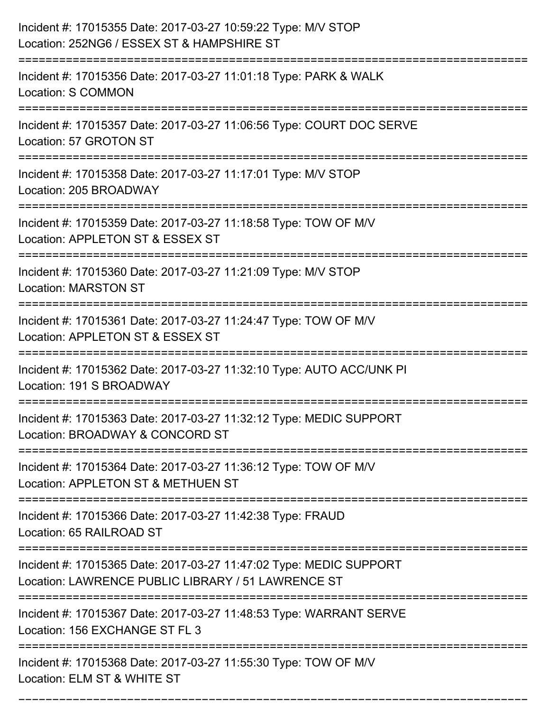| Incident #: 17015355 Date: 2017-03-27 10:59:22 Type: M/V STOP<br>Location: 252NG6 / ESSEX ST & HAMPSHIRE ST                                   |
|-----------------------------------------------------------------------------------------------------------------------------------------------|
| Incident #: 17015356 Date: 2017-03-27 11:01:18 Type: PARK & WALK<br>Location: S COMMON                                                        |
| Incident #: 17015357 Date: 2017-03-27 11:06:56 Type: COURT DOC SERVE<br>Location: 57 GROTON ST                                                |
| Incident #: 17015358 Date: 2017-03-27 11:17:01 Type: M/V STOP<br>Location: 205 BROADWAY                                                       |
| Incident #: 17015359 Date: 2017-03-27 11:18:58 Type: TOW OF M/V<br>Location: APPLETON ST & ESSEX ST                                           |
| Incident #: 17015360 Date: 2017-03-27 11:21:09 Type: M/V STOP<br><b>Location: MARSTON ST</b>                                                  |
| Incident #: 17015361 Date: 2017-03-27 11:24:47 Type: TOW OF M/V<br>Location: APPLETON ST & ESSEX ST                                           |
| Incident #: 17015362 Date: 2017-03-27 11:32:10 Type: AUTO ACC/UNK PI<br>Location: 191 S BROADWAY                                              |
| Incident #: 17015363 Date: 2017-03-27 11:32:12 Type: MEDIC SUPPORT<br>Location: BROADWAY & CONCORD ST                                         |
| Incident #: 17015364 Date: 2017-03-27 11:36:12 Type: TOW OF M/V<br>Location: APPLETON ST & METHUEN ST<br>====================                 |
| Incident #: 17015366 Date: 2017-03-27 11:42:38 Type: FRAUD<br>Location: 65 RAILROAD ST                                                        |
| Incident #: 17015365 Date: 2017-03-27 11:47:02 Type: MEDIC SUPPORT<br>Location: LAWRENCE PUBLIC LIBRARY / 51 LAWRENCE ST<br>----------------- |
| Incident #: 17015367 Date: 2017-03-27 11:48:53 Type: WARRANT SERVE<br>Location: 156 EXCHANGE ST FL 3                                          |
| Incident #: 17015368 Date: 2017-03-27 11:55:30 Type: TOW OF M/V<br>Location: ELM ST & WHITE ST                                                |

===========================================================================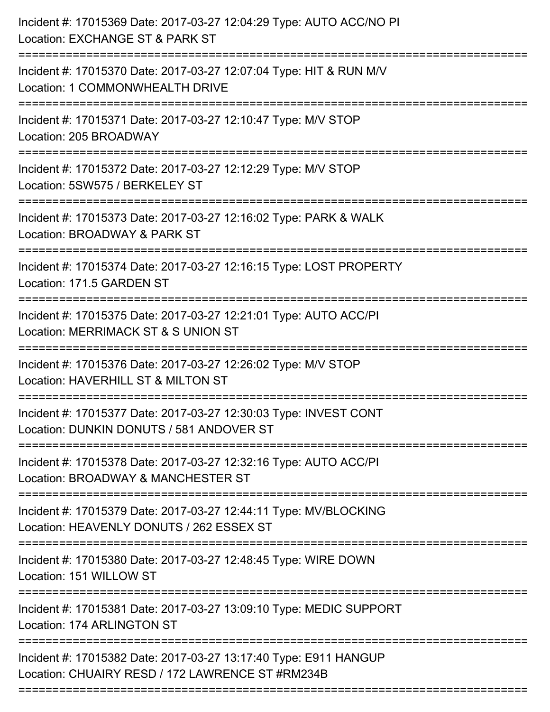| Incident #: 17015369 Date: 2017-03-27 12:04:29 Type: AUTO ACC/NO PI<br>Location: EXCHANGE ST & PARK ST                            |
|-----------------------------------------------------------------------------------------------------------------------------------|
| Incident #: 17015370 Date: 2017-03-27 12:07:04 Type: HIT & RUN M/V<br>Location: 1 COMMONWHEALTH DRIVE                             |
| Incident #: 17015371 Date: 2017-03-27 12:10:47 Type: M/V STOP<br>Location: 205 BROADWAY                                           |
| Incident #: 17015372 Date: 2017-03-27 12:12:29 Type: M/V STOP<br>Location: 5SW575 / BERKELEY ST                                   |
| Incident #: 17015373 Date: 2017-03-27 12:16:02 Type: PARK & WALK<br>Location: BROADWAY & PARK ST                                  |
| Incident #: 17015374 Date: 2017-03-27 12:16:15 Type: LOST PROPERTY<br>Location: 171.5 GARDEN ST                                   |
| Incident #: 17015375 Date: 2017-03-27 12:21:01 Type: AUTO ACC/PI<br>Location: MERRIMACK ST & S UNION ST<br>====================== |
| Incident #: 17015376 Date: 2017-03-27 12:26:02 Type: M/V STOP<br>Location: HAVERHILL ST & MILTON ST                               |
| Incident #: 17015377 Date: 2017-03-27 12:30:03 Type: INVEST CONT<br>Location: DUNKIN DONUTS / 581 ANDOVER ST                      |
| Incident #: 17015378 Date: 2017-03-27 12:32:16 Type: AUTO ACC/PI<br>Location: BROADWAY & MANCHESTER ST                            |
| Incident #: 17015379 Date: 2017-03-27 12:44:11 Type: MV/BLOCKING<br>Location: HEAVENLY DONUTS / 262 ESSEX ST                      |
| Incident #: 17015380 Date: 2017-03-27 12:48:45 Type: WIRE DOWN<br>Location: 151 WILLOW ST                                         |
| Incident #: 17015381 Date: 2017-03-27 13:09:10 Type: MEDIC SUPPORT<br>Location: 174 ARLINGTON ST                                  |
| Incident #: 17015382 Date: 2017-03-27 13:17:40 Type: E911 HANGUP<br>Location: CHUAIRY RESD / 172 LAWRENCE ST #RM234B              |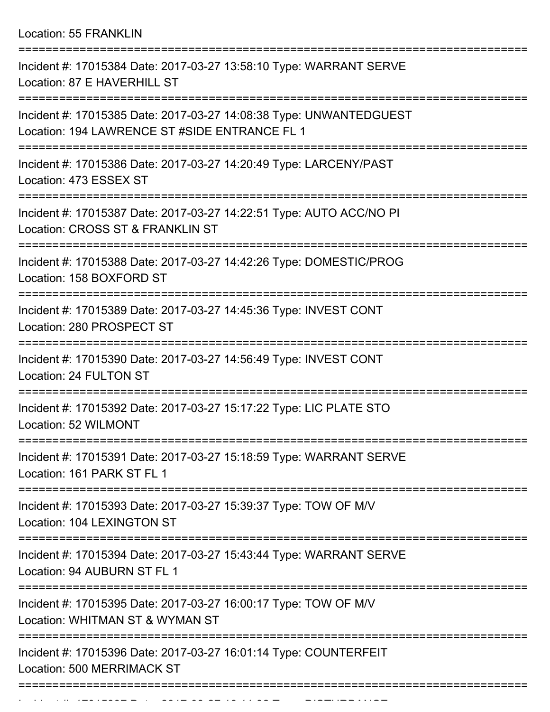Location: 55 FRANKLIN

| Incident #: 17015384 Date: 2017-03-27 13:58:10 Type: WARRANT SERVE<br>Location: 87 E HAVERHILL ST                   |
|---------------------------------------------------------------------------------------------------------------------|
| Incident #: 17015385 Date: 2017-03-27 14:08:38 Type: UNWANTEDGUEST<br>Location: 194 LAWRENCE ST #SIDE ENTRANCE FL 1 |
| Incident #: 17015386 Date: 2017-03-27 14:20:49 Type: LARCENY/PAST<br>Location: 473 ESSEX ST                         |
| Incident #: 17015387 Date: 2017-03-27 14:22:51 Type: AUTO ACC/NO PI<br>Location: CROSS ST & FRANKLIN ST             |
| Incident #: 17015388 Date: 2017-03-27 14:42:26 Type: DOMESTIC/PROG<br>Location: 158 BOXFORD ST                      |
| Incident #: 17015389 Date: 2017-03-27 14:45:36 Type: INVEST CONT<br>Location: 280 PROSPECT ST                       |
| Incident #: 17015390 Date: 2017-03-27 14:56:49 Type: INVEST CONT<br>Location: 24 FULTON ST                          |
| Incident #: 17015392 Date: 2017-03-27 15:17:22 Type: LIC PLATE STO<br>Location: 52 WILMONT                          |
| Incident #: 17015391 Date: 2017-03-27 15:18:59 Type: WARRANT SERVE<br>Location: 161 PARK ST FL 1                    |
| Incident #: 17015393 Date: 2017-03-27 15:39:37 Type: TOW OF M/V<br>Location: 104 LEXINGTON ST                       |
| Incident #: 17015394 Date: 2017-03-27 15:43:44 Type: WARRANT SERVE<br>Location: 94 AUBURN ST FL 1                   |
| Incident #: 17015395 Date: 2017-03-27 16:00:17 Type: TOW OF M/V<br>Location: WHITMAN ST & WYMAN ST                  |
| Incident #: 17015396 Date: 2017-03-27 16:01:14 Type: COUNTERFEIT<br><b>Location: 500 MERRIMACK ST</b>               |
|                                                                                                                     |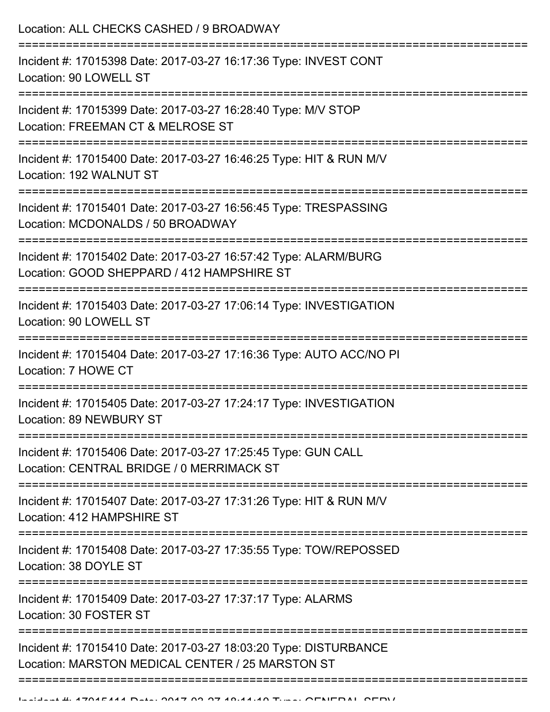| Location: ALL CHECKS CASHED / 9 BROADWAY                                                                                              |
|---------------------------------------------------------------------------------------------------------------------------------------|
| Incident #: 17015398 Date: 2017-03-27 16:17:36 Type: INVEST CONT<br>Location: 90 LOWELL ST<br>===================================     |
| Incident #: 17015399 Date: 2017-03-27 16:28:40 Type: M/V STOP<br>Location: FREEMAN CT & MELROSE ST                                    |
| Incident #: 17015400 Date: 2017-03-27 16:46:25 Type: HIT & RUN M/V<br>Location: 192 WALNUT ST                                         |
| Incident #: 17015401 Date: 2017-03-27 16:56:45 Type: TRESPASSING<br>Location: MCDONALDS / 50 BROADWAY                                 |
| Incident #: 17015402 Date: 2017-03-27 16:57:42 Type: ALARM/BURG<br>Location: GOOD SHEPPARD / 412 HAMPSHIRE ST<br>==================== |
| Incident #: 17015403 Date: 2017-03-27 17:06:14 Type: INVESTIGATION<br>Location: 90 LOWELL ST                                          |
| Incident #: 17015404 Date: 2017-03-27 17:16:36 Type: AUTO ACC/NO PI<br>Location: 7 HOWE CT                                            |
| Incident #: 17015405 Date: 2017-03-27 17:24:17 Type: INVESTIGATION<br>Location: 89 NEWBURY ST                                         |
| Incident #: 17015406 Date: 2017-03-27 17:25:45 Type: GUN CALL<br>Location: CENTRAL BRIDGE / 0 MERRIMACK ST                            |
| Incident #: 17015407 Date: 2017-03-27 17:31:26 Type: HIT & RUN M/V<br>Location: 412 HAMPSHIRE ST                                      |
| Incident #: 17015408 Date: 2017-03-27 17:35:55 Type: TOW/REPOSSED<br>Location: 38 DOYLE ST                                            |
| Incident #: 17015409 Date: 2017-03-27 17:37:17 Type: ALARMS<br>Location: 30 FOSTER ST                                                 |
| Incident #: 17015410 Date: 2017-03-27 18:03:20 Type: DISTURBANCE<br>Location: MARSTON MEDICAL CENTER / 25 MARSTON ST                  |
|                                                                                                                                       |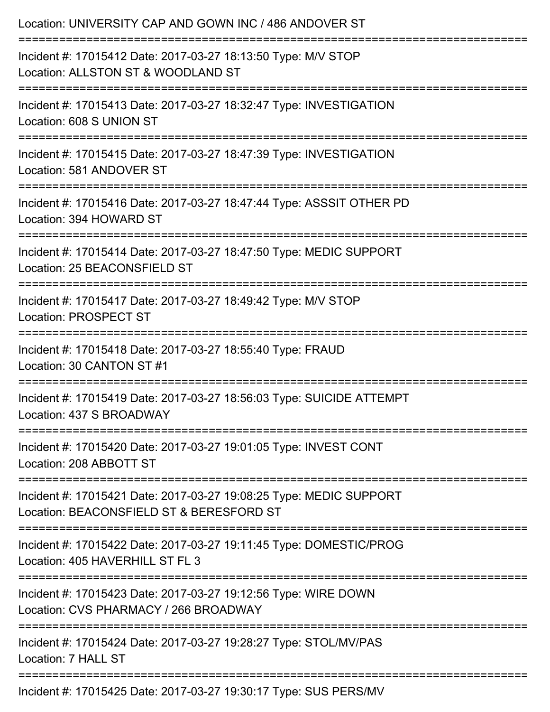| Location: UNIVERSITY CAP AND GOWN INC / 486 ANDOVER ST                                                         |
|----------------------------------------------------------------------------------------------------------------|
| Incident #: 17015412 Date: 2017-03-27 18:13:50 Type: M/V STOP<br>Location: ALLSTON ST & WOODLAND ST            |
| Incident #: 17015413 Date: 2017-03-27 18:32:47 Type: INVESTIGATION<br>Location: 608 S UNION ST                 |
| Incident #: 17015415 Date: 2017-03-27 18:47:39 Type: INVESTIGATION<br>Location: 581 ANDOVER ST                 |
| Incident #: 17015416 Date: 2017-03-27 18:47:44 Type: ASSSIT OTHER PD<br>Location: 394 HOWARD ST                |
| Incident #: 17015414 Date: 2017-03-27 18:47:50 Type: MEDIC SUPPORT<br>Location: 25 BEACONSFIELD ST             |
| Incident #: 17015417 Date: 2017-03-27 18:49:42 Type: M/V STOP<br><b>Location: PROSPECT ST</b>                  |
| Incident #: 17015418 Date: 2017-03-27 18:55:40 Type: FRAUD<br>Location: 30 CANTON ST #1                        |
| Incident #: 17015419 Date: 2017-03-27 18:56:03 Type: SUICIDE ATTEMPT<br>Location: 437 S BROADWAY               |
| Incident #: 17015420 Date: 2017-03-27 19:01:05 Type: INVEST CONT<br>Location: 208 ABBOTT ST                    |
| Incident #: 17015421 Date: 2017-03-27 19:08:25 Type: MEDIC SUPPORT<br>Location: BEACONSFIELD ST & BERESFORD ST |
| Incident #: 17015422 Date: 2017-03-27 19:11:45 Type: DOMESTIC/PROG<br>Location: 405 HAVERHILL ST FL 3          |
| Incident #: 17015423 Date: 2017-03-27 19:12:56 Type: WIRE DOWN<br>Location: CVS PHARMACY / 266 BROADWAY        |
| Incident #: 17015424 Date: 2017-03-27 19:28:27 Type: STOL/MV/PAS<br>Location: 7 HALL ST                        |
| Incident #: 17015425 Date: 2017-03-27 19:30:17 Type: SUS PERS/MV                                               |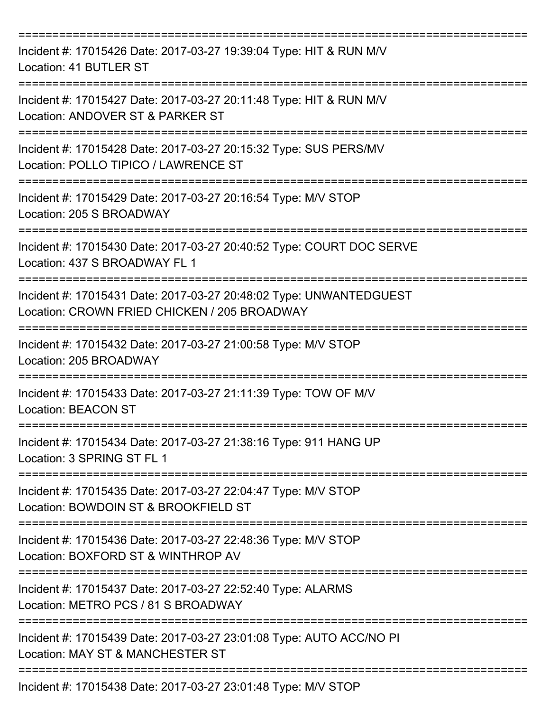| Incident #: 17015426 Date: 2017-03-27 19:39:04 Type: HIT & RUN M/V<br>Location: 41 BUTLER ST                       |
|--------------------------------------------------------------------------------------------------------------------|
| Incident #: 17015427 Date: 2017-03-27 20:11:48 Type: HIT & RUN M/V<br>Location: ANDOVER ST & PARKER ST             |
| Incident #: 17015428 Date: 2017-03-27 20:15:32 Type: SUS PERS/MV<br>Location: POLLO TIPICO / LAWRENCE ST           |
| Incident #: 17015429 Date: 2017-03-27 20:16:54 Type: M/V STOP<br>Location: 205 S BROADWAY                          |
| Incident #: 17015430 Date: 2017-03-27 20:40:52 Type: COURT DOC SERVE<br>Location: 437 S BROADWAY FL 1              |
| Incident #: 17015431 Date: 2017-03-27 20:48:02 Type: UNWANTEDGUEST<br>Location: CROWN FRIED CHICKEN / 205 BROADWAY |
| Incident #: 17015432 Date: 2017-03-27 21:00:58 Type: M/V STOP<br>Location: 205 BROADWAY                            |
| Incident #: 17015433 Date: 2017-03-27 21:11:39 Type: TOW OF M/V<br><b>Location: BEACON ST</b>                      |
| Incident #: 17015434 Date: 2017-03-27 21:38:16 Type: 911 HANG UP<br>Location: 3 SPRING ST FL 1                     |
| Incident #: 17015435 Date: 2017-03-27 22:04:47 Type: M/V STOP<br>Location: BOWDOIN ST & BROOKFIELD ST              |
| Incident #: 17015436 Date: 2017-03-27 22:48:36 Type: M/V STOP<br>Location: BOXFORD ST & WINTHROP AV                |
| Incident #: 17015437 Date: 2017-03-27 22:52:40 Type: ALARMS<br>Location: METRO PCS / 81 S BROADWAY                 |
| Incident #: 17015439 Date: 2017-03-27 23:01:08 Type: AUTO ACC/NO PI<br>Location: MAY ST & MANCHESTER ST            |
| Incident #: 17015438 Date: 2017-03-27 23:01:48 Type: M/V STOP                                                      |